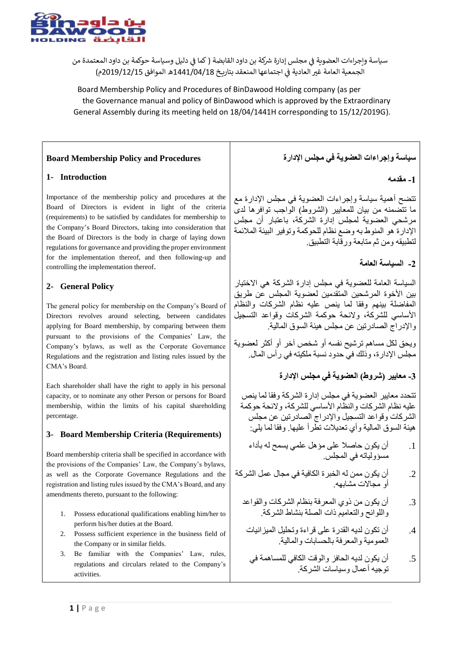

سياسة وإجراءات العضوية في مجلس إدارة شركة بن داود القابضة ( كما في دليل وسياسة حوكمة بن داود المعتمدة من ي : الجمعية العامة غير العادية في اجتماعها المنعقد بتاريخ 1441/04/18هـ الموافق 2019/12/15م) ي ֦֧֦֧ׅ֧֦֧֦֧֧֧֚֚֚֚֚֚֚֚֚֚֚֚֚֚֚֚֚֚֚֡֝֝֜֝֬֝֬֜֜

Board Membership Policy and Procedures of BinDawood Holding company (as per the Governance manual and policy of BinDawood which is approved by the Extraordinary General Assembly during its meeting held on 18/04/1441H corresponding to 15/12/2019G).

### **Board Membership Policy and Procedures**

### **1- Introduction**

Importance of the membership policy and procedures at the Board of Directors is evident in light of the criteria (requirements) to be satisfied by candidates for membership to the Company's Board Directors, taking into consideration that the Board of Directors is the body in charge of laying down regulations for governance and providing the proper environment for the implementation thereof, and then following-up and controlling the implementation thereof.

### **2- General Policy**

The general policy for membership on the Company's Board of Directors revolves around selecting, between candidates applying for Board membership, by comparing between them pursuant to the provisions of the Companies' Law, the Company's bylaws, as well as the Corporate Governance Regulations and the registration and listing rules issued by the CMA's Board.

Each shareholder shall have the right to apply in his personal capacity, or to nominate any other Person or persons for Board membership, within the limits of his capital shareholding percentage.

### **3- Board Membership Criteria (Requirements)**

Board membership criteria shall be specified in accordance with the provisions of the Companies' Law, the Company's bylaws, as well as the Corporate Governance Regulations and the registration and listing rules issued by the CMA's Board, and any amendments thereto, pursuant to the following:

- 1. Possess educational qualifications enabling him/her to perform his/her duties at the Board.
- 2. Possess sufficient experience in the business field of the Company or in similar fields.
- 3. Be familiar with the Companies' Law, rules, regulations and circulars related to the Company's activities.

# **سياسة وإجراءات العضوية في مجلس اإلدارة**

**-1 مقدمه**

تتضح أهمية سياسة وإجراءات العضوية في مجلس اإلدارة مع ما تتّضمنه من بيان للمعايير (الشروط) الواجب توافرها لدى مرشحي العضوية لمجلس إدارة الشركة، باعتبار أن مجلس اإلدارة هو المنوط به وضع نظام للحوكمة وتوفير البيئة المالئمة لتطبيقه ومن ثم متابعة ورقابة التطبيق.

## **-2 السياسة العامة**

السياسة العامة للعضوية في مجلس إدارة الشركة هي االختيار بين الأخوة المرشحين المتقدمين لعضوية المجلس عن طريق المفاضلة بينهم وفقا لما ينص عليه نظام الشركات والنظام األساسي للشركة، والئحة حوكمة الشركات وقواعد التسجيل واإلدراج الصادرتين عن مجلس هيئة السوق المالية.

ويحق لكل مساهم ترشيح نفسه أو شخص آخر أو أكثر لعضوية مجلس اإلدارة، وذلك في حدود نسبة ملكيته في رأس المال.

# **-3 معايير )شروط( العضوية في مجلس اإلدارة**

تتحدد معايير العضوية في مجلس إدارة الشركة وفقا لما ينص عليه نظام الشركات والنظام الأساسي للشركة، ولائحة حوكمة الشركات وقواعد التسجيل واإلدراج الصادرتين عن مجلس هيئة السوق المالية وأي تعديالت تطرأ عليها. وفقا لما يلي:

- .1 أن يكون حاصال على مؤهل علمي يسمح له بأداء مسؤولياته في المجلس.
- .2 أن يكون ممن له الخبرة الكافية في مجال عمل الشركة أو مجاالت مشابهه.
	- .3 أن يكون من ذوي المعرفة بنظام الشركات والقواعد واللوائح والتعاميم ذات الصلة بنشاط الشركة.
	- .4 أن تكون لديه القدرة على قراءة وتحليل الميزانيات العمومية والمعرفة بالحسابات والمالية.
		- .5 أن يكون لديه الحافز والوقت الكافي للمساهمة في توجيه أعمال وسياسات الشركة.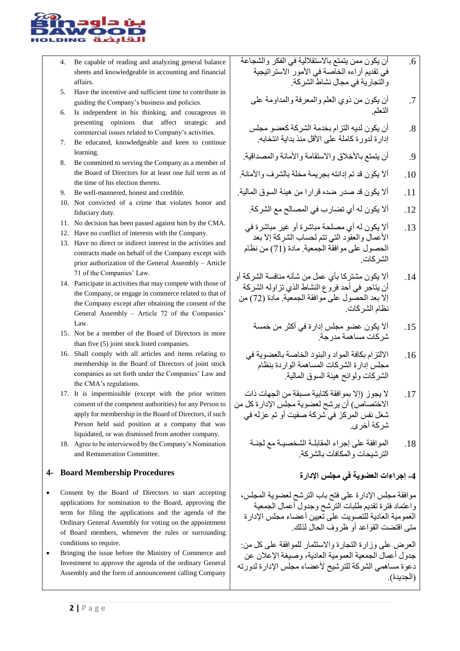

- 4. Be capable of reading and analyzing general balance sheets and knowledgeable in accounting and financial affairs.
- 5. Have the incentive and sufficient time to contribute in guiding the Company's business and policies.
- 6. Is independent in his thinking, and courageous in presenting opinions that affect strategic and commercial issues related to Company's activities.
- 7. Be educated, knowledgeable and keen to continue learning.
- 8. Be committed to serving the Company as a member of the Board of Directors for at least one full term as of the time of his election thereto.
- 9. Be well-mannered, honest and credible.
- 10. Not convicted of a crime that violates honor and fiduciary duty.
- 11. No decision has been passed against him by the CMA.
- 12. Have no conflict of interests with the Company.
- 13. Have no direct or indirect interest in the activities and contracts made on behalf of the Company except with prior authorization of the General Assembly – Article 71 of the Companies' Law.
- 14. Participate in activities that may compete with those of the Company, or engage in commerce related to that of the Company except after obtaining the consent of the General Assembly – Article 72 of the Companies' Law.
- 15. Not be a member of the Board of Directors in more than five (5) joint stock listed companies.
- 16. Shall comply with all articles and items relating to membership in the Board of Directors of joint stock companies as set forth under the Companies' Law and the CMA's regulations.
- 17. It is impermissible (except with the prior written consent of the competent authorities) for any Person to apply for membership in the Board of Directors, if such Person held said position at a company that was liquidated, or was dismissed from another company.
- 18. Agree to be interviewed by the Company's Nomination and Remuneration Committee.

### **4- Board Membership Procedures**

- Consent by the Board of Directors to start accepting applications for nomination to the Board, approving the term for filing the applications and the agenda of the Ordinary General Assembly for voting on the appointment of Board members, whenever the rules or surrounding conditions so require.
- Bringing the issue before the Ministry of Commerce and Investment to approve the agenda of the ordinary General Assembly and the form of announcement calling Company
- .6 أن يكون ممن يتمتع باالستقاللية في الفكر والشجاعة في تقديم آراءه الخاصة في الأمور الاستراتيجية والتجارية في مجال نشاط الشركة.
	- .7 أن يكون من ذوي العلم والمعرفة والمداومة على التعلم.
	- .8 أن يكون لديه التزام بخدمة الشركة كعضو مجلس إدار ة لدور ة كاملة على الأقل منذ بداية انتخابه.
- 9. أن يتمتع بالأخلاق والاستقامة والأمانة والمصداقية.
- .10 أال يكون قد تم إدانته بجريمة مخلة بالشرف واألمانة.
- .11 أال يكون قد صدر ضده قرارا من هيئة السوق المالية.
	- .12 أال يكون له أي تضارب في المصالح مع الشركة.
- .13 أال يكون له أي مصلحة مباشرة أو غير مباشرة في األعمال والعقود التي تتم لحساب الشركة إال بعد الحصول على موافقة الجمعية. مادة )71( من نظام الشركات.
- .14 أال يكون مشتركا بأي عمل من شأنه منافسة الشركة أو أن يتاجر في أحد فروع النشاط الذي تزاوله الشركة إال بعد الحصول على موافقة الجمعية. مادة )72( من نظام الشركات.
	- .15 أال يكون عضو مجلس إدارة في أكثر من خمسة شركات مساهمة مدرجة.
	- .16 االلتزام بكافة المواد والبنود الخاصة بالعضوية في مجلس إدارة الشركات المساهمة الواردة بنظام الشركات ولوائح هيئة السوق المالية.
- .17 ال يجوز )إال بموافقة كتابية مسبقة من الجهات ذات الاختصاص) أن يرشح لعضوية مجلس الإدارة كل من شغل نفس المركز في شركة صفيت أو تم عزله في شركة أخرى.
	- .18 الموافقة على إجراء المقابلـة الشخصيـة مع لجنـة الترشيحات والمكافآت بالشركة.
		- **-4 إجراءات العضوية في مجلس اإلدارة**

موافقة مجلس اإلدارة على فتح باب الترشح لعضوية المجلس، واعتماد فترة تقديم طلبات الترشح وجدول أعمال الجمعية العمومية العادية للتصويت على تعيين أعضاء مجلس اإلدارة متى اقتضت القواعد أو ظروف الحال لذلك.

العرض على وزارة التجارة واالستثمار للموافقة على كل من: جدول أعمال الجمعية العمومية العادية، وصيغة اإلعالن عن دعوة مساهمي الشركة للترشيح لأعضاء مجلس الإدارة لدورته (الجديدة).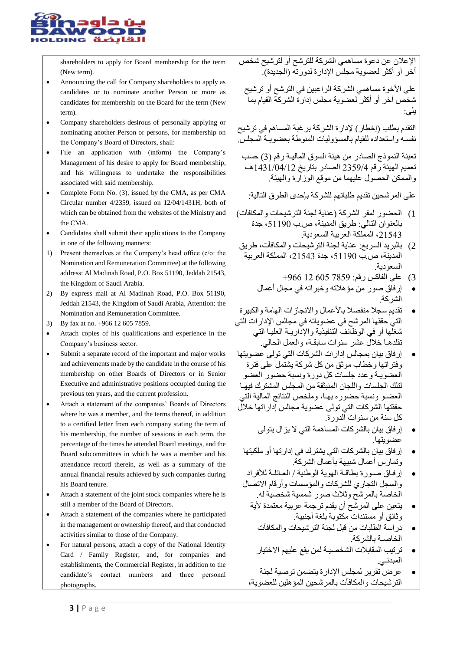

shareholders to apply for Board membership for the term (New term).

- Announcing the call for Company shareholders to apply as candidates or to nominate another Person or more as candidates for membership on the Board for the term (New term).
- Company shareholders desirous of personally applying or nominating another Person or persons, for membership on the Company's Board of Directors, shall:
- File an application with (inform) the Company's Management of his desire to apply for Board membership, and his willingness to undertake the responsibilities associated with said membership.
- Complete Form No. (3), issued by the CMA, as per CMA Circular number 4/2359, issued on 12/04/1431H, both of which can be obtained from the websites of the Ministry and the CMA.
- Candidates shall submit their applications to the Company in one of the following manners:
- 1) Present themselves at the Company's head office (c/o: the Nomination and Remuneration Committee) at the following address: Al Madinah Road, P.O. Box 51190, Jeddah 21543, the Kingdom of Saudi Arabia.
- 2) By express mail at Al Madinah Road, P.O. Box 51190, Jeddah 21543, the Kingdom of Saudi Arabia, Attention: the Nomination and Remuneration Committee.
- 3) By fax at no. +966 12 605 7859.
- Attach copies of his qualifications and experience in the Company's business sector.
- Submit a separate record of the important and major works and achievements made by the candidate in the course of his membership on other Boards of Directors or in Senior Executive and administrative positions occupied during the previous ten years, and the current profession.
- Attach a statement of the companies' Boards of Directors where he was a member, and the terms thereof, in addition to a certified letter from each company stating the term of his membership, the number of sessions in each term, the percentage of the times he attended Board meetings, and the Board subcommittees in which he was a member and his attendance record therein, as well as a summary of the annual financial results achieved by such companies during his Board tenure.
- Attach a statement of the joint stock companies where he is still a member of the Board of Directors.
- Attach a statement of the companies where he participated in the management or ownership thereof, and that conducted activities similar to those of the Company.
- For natural persons, attach a copy of the National Identity Card / Family Register; and, for companies and establishments, the Commercial Register, in addition to the candidate's contact numbers and three personal photographs.

اإلعالن عن دعوة مساهمي الشركة للترشح أو لترشيح شخص آخَر أو أكثر لعضوية مجلس الإدارة لدورته (الجديدة).

على الأخوة مساهمي الشركة الراغبين في الترشح أو ترشيح شخص آخر أو أكثر لعضوية مجلس إدارة الشركة القيام بما يلى:

التقدم بطلب )إخطار( إلدارة الشركة برغبة المساهم في ترشيح نفسـه واستعداده للقيام بالمسؤوليات المنوطة بعضويـة المجلس.

تعبئة النموذج الصادر من هيئة السوق الماليـة رقم )3( حسب تعميم الهيئة رقم 2359/4 الصادر بتاريخ 1431/04/12هـ، والممكن الحصول عليهما من موقع الوزارة والهيئة.

على المرشحين تقديم طلباتهم للشركة بإحدى الطرق التالية:

- 1( الحضور لمقر الشركة )عناية لجنة الترشيحات والمكافآت( بالعنوان التالي: طريق المدينة، ص.ب ،51190 جدة ،21543 المملكة العربية السعودية.
- 2( بالبريد السريع: عناية لجنة الترشيحات والمكافآت، طريق المدينة، ص.ب ،51190 جدة ،21543 المملكة العربية السعودية.
	- 3( على الفاكس رقم: 7859 605 12 +966
	- إرفاق صور من مؤهالته وخبراته في مجال أعمال الشركة.
- تقديم سجال منفصال باألعمال واالنجازات الهامة والكبيرة التي حققها المرشح في عضوياته في مجالس اإلدارات التي شغلها أو في الوظائف التنفيذية واإلداريـة العليـا التي تقلدهـا خالل عشر سنوات سابقـة، والعمل الحالي.
- إرفاق بيان بمجالس إدارات الشركات التي تولى عضويتها وفتراتها وخطاب موثق من كل شركة يشتمل على فترة العضويـة وعدد جلسات كل دورة ونسبة حضور العضو لتلك الجلسات واللجان المنبثقة من المجلس المشترك فيهـا العضـو ونسبة حضوره بهـا، وملخص النتائج المالية التي حققتها الشركات التي تولى عضوية مجالس إداراتها خالل كل سنة من سنوات الدورة.
	- إرفاق بيان بالشركات المساهمة التي ال يزال يتولى عضو يتها.
	- إرفاق بيان بالشركات التي يشترك في إدارتها أو ملكيتها وتمارس أعمال شبيهة بأعمال الشركة.
	- إرفـاق صـورة بطاقـة الهوية الوطنية / العـائلـة لألفراد والسجل التجاري للشركات والمؤسسات وأرقام االتصال الخاصة بالمرشح وثالث صور شمسية شخصية له.
		- يتعين على المرشح أن يقدم ترجمة عربية معتمدة لأية وثائق أو مستندات مكتوبة بلغة أجنبية.
			- دراسة الطلبات من قبل لجنة الترشيحات والمكافآت الخاصـة بالشركة.
			- ترتيب المقابالت الشخصيـة لمن يقع عليهم االختيار المبدئـي.
		- عرض تقرير لمجلس اإلدارة يتضمن توصية لجنة الترشيحات والمكافآت بالمرشحين المؤهلين للعضوية،